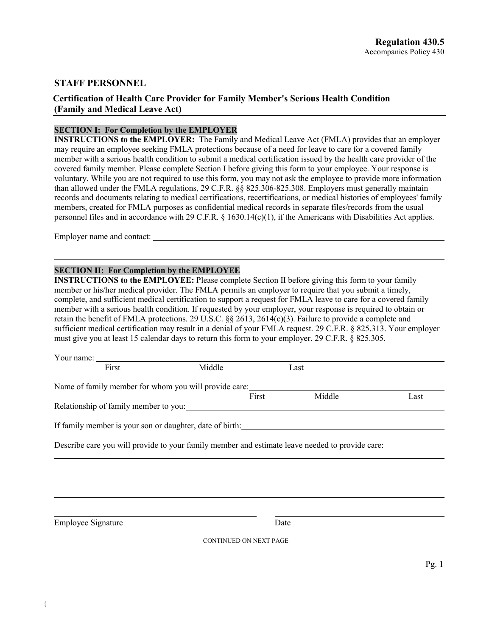### **STAFF PERSONNEL**

# **Certification of Health Care Provider for Family Member's Serious Health Condition (Family and Medical Leave Act)**

# **SECTION I: For Completion by the EMPLOYER**

**INSTRUCTIONS to the EMPLOYER:** The Family and Medical Leave Act (FMLA) provides that an employer may require an employee seeking FMLA protections because of a need for leave to care for a covered family member with a serious health condition to submit a medical certification issued by the health care provider of the covered family member. Please complete Section I before giving this form to your employee. Your response is voluntary. While you are not required to use this form, you may not ask the employee to provide more information than allowed under the FMLA regulations, 29 C.F.R. §§ 825.306-825.308. Employers must generally maintain records and documents relating to medical certifications, recertifications, or medical histories of employees' family members, created for FMLA purposes as confidential medical records in separate files/records from the usual personnel files and in accordance with 29 C.F.R.  $\S$  1630.14(c)(1), if the Americans with Disabilities Act applies.

Employer name and contact:

#### **SECTION II: For Completion by the EMPLOYEE**

**INSTRUCTIONS to the EMPLOYEE:** Please complete Section II before giving this form to your family member or his/her medical provider. The FMLA permits an employer to require that you submit a timely, complete, and sufficient medical certification to support a request for FMLA leave to care for a covered family member with a serious health condition. If requested by your employer, your response is required to obtain or retain the benefit of FMLA protections. 29 U.S.C. §§ 2613, 2614(c)(3). Failure to provide a complete and sufficient medical certification may result in a denial of your FMLA request. 29 C.F.R. § 825.313. Your employer must give you at least 15 calendar days to return this form to your employer. 29 C.F.R. § 825.305.

| Your name:                                                                                      |        |                 |      |
|-------------------------------------------------------------------------------------------------|--------|-----------------|------|
| First                                                                                           | Middle | Last            |      |
| Name of family member for whom you will provide care:                                           |        |                 |      |
|                                                                                                 |        | First<br>Middle | Last |
| Relationship of family member to you:                                                           |        |                 |      |
| If family member is your son or daughter, date of birth:                                        |        |                 |      |
| Describe care you will provide to your family member and estimate leave needed to provide care: |        |                 |      |
|                                                                                                 |        |                 |      |
|                                                                                                 |        |                 |      |
|                                                                                                 |        |                 |      |
| Employee Signature                                                                              |        | Date            |      |

CONTINUED ON NEXT PAGE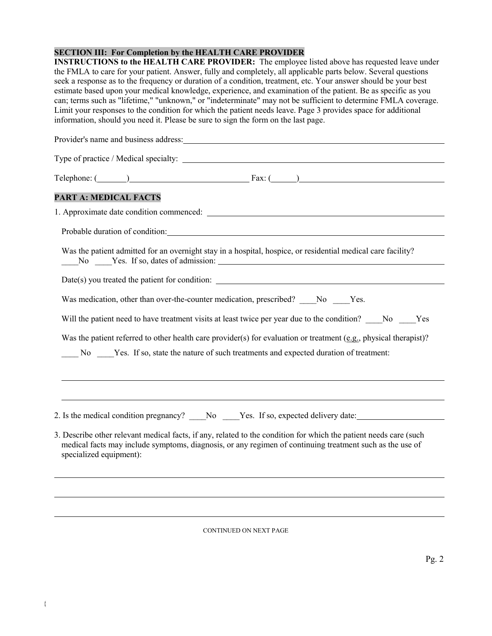### **SECTION III: For Completion by the HEALTH CARE PROVIDER**

**INSTRUCTIONS to the HEALTH CARE PROVIDER:** The employee listed above has requested leave under the FMLA to care for your patient. Answer, fully and completely, all applicable parts below. Several questions seek a response as to the frequency or duration of a condition, treatment, etc. Your answer should be your best estimate based upon your medical knowledge, experience, and examination of the patient. Be as specific as you can; terms such as "lifetime," "unknown," or "indeterminate" may not be sufficient to determine FMLA coverage. Limit your responses to the condition for which the patient needs leave. Page 3 provides space for additional information, should you need it. Please be sure to sign the form on the last page.

| Provider's name and business address: Note that the same state of the state of the state of the state of the state of the state of the state of the state of the state of the state of the state of the state of the state of                            |  |
|----------------------------------------------------------------------------------------------------------------------------------------------------------------------------------------------------------------------------------------------------------|--|
|                                                                                                                                                                                                                                                          |  |
|                                                                                                                                                                                                                                                          |  |
| PART A: MEDICAL FACTS                                                                                                                                                                                                                                    |  |
|                                                                                                                                                                                                                                                          |  |
| Probable duration of condition: Note that the condition of condition:                                                                                                                                                                                    |  |
| Was the patient admitted for an overnight stay in a hospital, hospice, or residential medical care facility?                                                                                                                                             |  |
|                                                                                                                                                                                                                                                          |  |
| Was medication, other than over-the-counter medication, prescribed? _____ No _____ Yes.                                                                                                                                                                  |  |
| Will the patient need to have treatment visits at least twice per year due to the condition? No Yes                                                                                                                                                      |  |
| Was the patient referred to other health care provider(s) for evaluation or treatment (e.g., physical therapist)?                                                                                                                                        |  |
| No Yes. If so, state the nature of such treatments and expected duration of treatment:                                                                                                                                                                   |  |
|                                                                                                                                                                                                                                                          |  |
|                                                                                                                                                                                                                                                          |  |
| 2. Is the medical condition pregnancy? ____No ____Yes. If so, expected delivery date: ________________________                                                                                                                                           |  |
| 3. Describe other relevant medical facts, if any, related to the condition for which the patient needs care (such<br>medical facts may include symptoms, diagnosis, or any regimen of continuing treatment such as the use of<br>specialized equipment): |  |

CONTINUED ON NEXT PAGE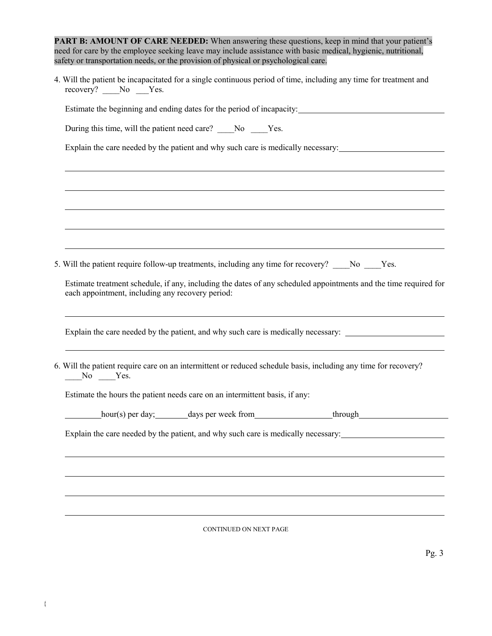| <b>PART B: AMOUNT OF CARE NEEDED:</b> When answering these questions, keep in mind that your patient's        |
|---------------------------------------------------------------------------------------------------------------|
| need for care by the employee seeking leave may include assistance with basic medical, hygienic, nutritional, |
| safety or transportation needs, or the provision of physical or psychological care.                           |
|                                                                                                               |

4. Will the patient be incapacitated for a single continuous period of time, including any time for treatment and recovery? No Yes.

Estimate the beginning and ending dates for the period of incapacity:<br>
<u>Extimate the beginning</u> and ending dates for the period of incapacity:

During this time, will the patient need care? \_\_\_\_No \_\_\_\_Yes.

Explain the care needed by the patient and why such care is medically necessary:

|              |                                                  |                                                                             | Estimate treatment schedule, if any, including the dates of any scheduled appointments and the time required for |
|--------------|--------------------------------------------------|-----------------------------------------------------------------------------|------------------------------------------------------------------------------------------------------------------|
|              | each appointment, including any recovery period: |                                                                             |                                                                                                                  |
|              |                                                  |                                                                             | Explain the care needed by the patient, and why such care is medically necessary:                                |
|              |                                                  |                                                                             |                                                                                                                  |
| $N0$ $Y$ es. |                                                  |                                                                             | 6. Will the patient require care on an intermittent or reduced schedule basis, including any time for recovery?  |
|              |                                                  | Estimate the hours the patient needs care on an intermittent basis, if any: |                                                                                                                  |
|              |                                                  |                                                                             | hour(s) per day; days per week from through hour(s) per days per week from                                       |
|              |                                                  |                                                                             | Explain the care needed by the patient, and why such care is medically necessary:                                |
|              |                                                  |                                                                             |                                                                                                                  |
|              |                                                  |                                                                             |                                                                                                                  |

CONTINUED ON NEXT PAGE